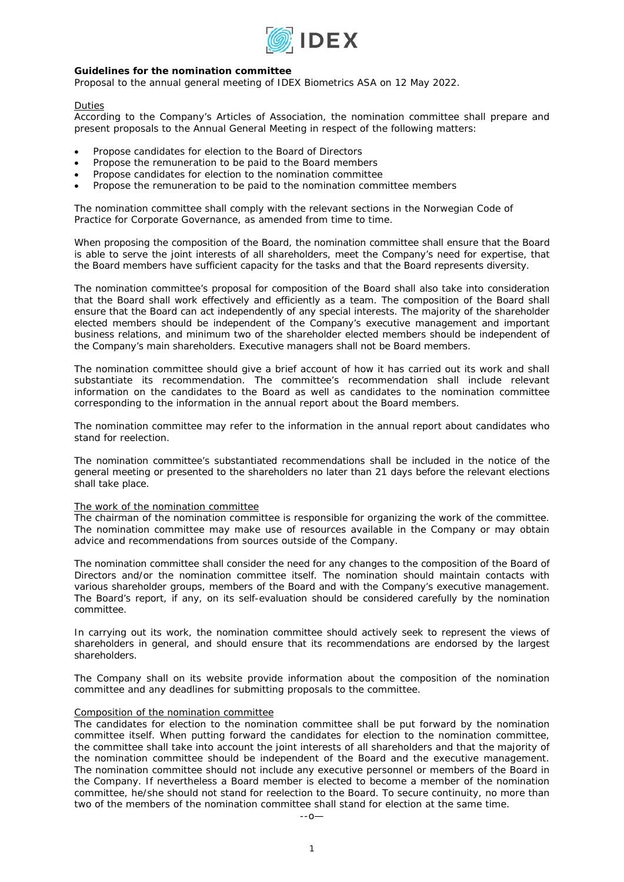

# **Guidelines for the nomination committee**

*Proposal to the annual general meeting of IDEX Biometrics ASA on 12 May 2022.* 

# Duties

According to the Company's Articles of Association, the nomination committee shall prepare and present proposals to the Annual General Meeting in respect of the following matters:

- Propose candidates for election to the Board of Directors
- Propose the remuneration to be paid to the Board members
- Propose candidates for election to the nomination committee
- Propose the remuneration to be paid to the nomination committee members

The nomination committee shall comply with the relevant sections in the Norwegian Code of Practice for Corporate Governance, as amended from time to time.

When proposing the composition of the Board, the nomination committee shall ensure that the Board is able to serve the joint interests of all shareholders, meet the Company's need for expertise, that the Board members have sufficient capacity for the tasks and that the Board represents diversity.

The nomination committee's proposal for composition of the Board shall also take into consideration that the Board shall work effectively and efficiently as a team. The composition of the Board shall ensure that the Board can act independently of any special interests. The majority of the shareholder elected members should be independent of the Company's executive management and important business relations, and minimum two of the shareholder elected members should be independent of the Company's main shareholders. Executive managers shall not be Board members.

The nomination committee should give a brief account of how it has carried out its work and shall substantiate its recommendation. The committee's recommendation shall include relevant information on the candidates to the Board as well as candidates to the nomination committee corresponding to the information in the annual report about the Board members.

The nomination committee may refer to the information in the annual report about candidates who stand for reelection.

The nomination committee's substantiated recommendations shall be included in the notice of the general meeting or presented to the shareholders no later than 21 days before the relevant elections shall take place.

# The work of the nomination committee

The chairman of the nomination committee is responsible for organizing the work of the committee. The nomination committee may make use of resources available in the Company or may obtain advice and recommendations from sources outside of the Company.

The nomination committee shall consider the need for any changes to the composition of the Board of Directors and/or the nomination committee itself. The nomination should maintain contacts with various shareholder groups, members of the Board and with the Company's executive management. The Board's report, if any, on its self-evaluation should be considered carefully by the nomination committee.

In carrying out its work, the nomination committee should actively seek to represent the views of shareholders in general, and should ensure that its recommendations are endorsed by the largest shareholders.

The Company shall on its website provide information about the composition of the nomination committee and any deadlines for submitting proposals to the committee.

## Composition of the nomination committee

The candidates for election to the nomination committee shall be put forward by the nomination committee itself. When putting forward the candidates for election to the nomination committee, the committee shall take into account the joint interests of all shareholders and that the majority of the nomination committee should be independent of the Board and the executive management. The nomination committee should not include any executive personnel or members of the Board in the Company. If nevertheless a Board member is elected to become a member of the nomination committee, he/she should not stand for reelection to the Board. To secure continuity, no more than two of the members of the nomination committee shall stand for election at the same time.